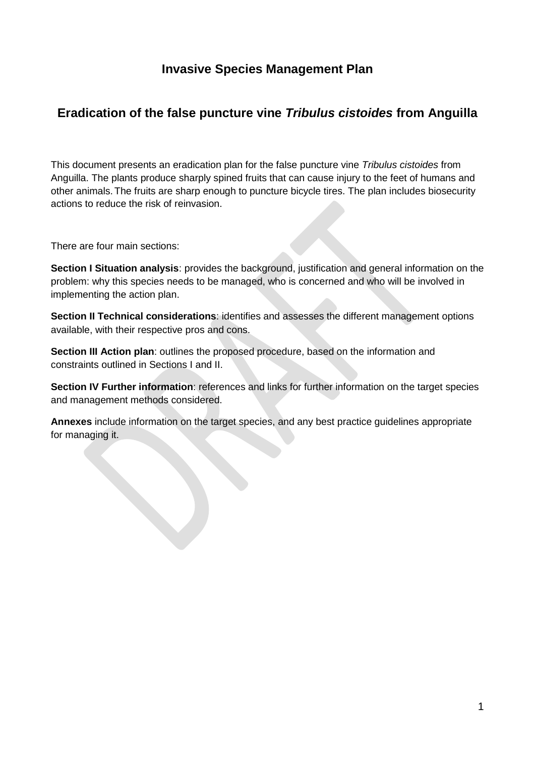## **Invasive Species Management Plan**

## **Eradication of the false puncture vine** *Tribulus cistoides* **from Anguilla**

This document presents an eradication plan for the false puncture vine *Tribulus cistoides* from Anguilla. The plants produce sharply spined fruits that can cause injury to the feet of humans and other animals.The fruits are sharp enough to puncture bicycle tires. The plan includes biosecurity actions to reduce the risk of reinvasion.

There are four main sections:

**Section I Situation analysis**: provides the background, justification and general information on the problem: why this species needs to be managed, who is concerned and who will be involved in implementing the action plan.

**Section II Technical considerations**: identifies and assesses the different management options available, with their respective pros and cons.

**Section III Action plan**: outlines the proposed procedure, based on the information and constraints outlined in Sections I and II.

**Section IV Further information: references and links for further information on the target species** and management methods considered.

**Annexes** include information on the target species, and any best practice guidelines appropriate for managing it.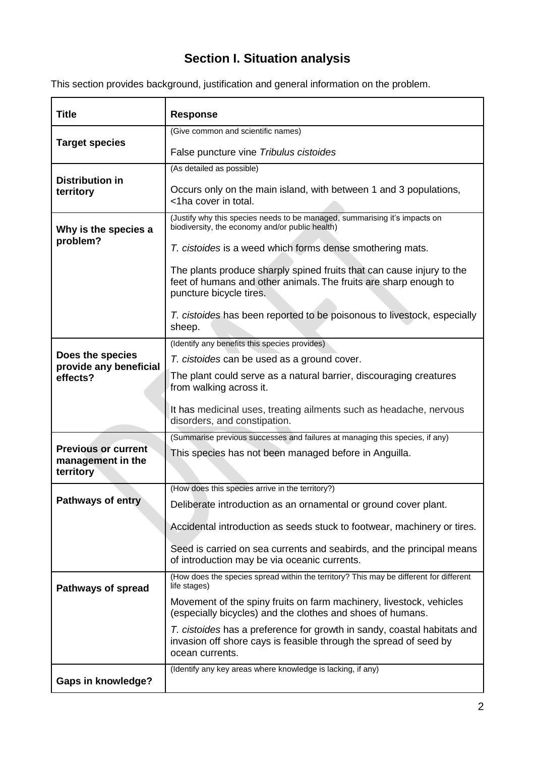# **Section I. Situation analysis**

This section provides background, justification and general information on the problem.

| <b>Title</b>                                                                                                                                                                                          | <b>Response</b>                                                                                                                                                      |
|-------------------------------------------------------------------------------------------------------------------------------------------------------------------------------------------------------|----------------------------------------------------------------------------------------------------------------------------------------------------------------------|
|                                                                                                                                                                                                       | (Give common and scientific names)                                                                                                                                   |
| <b>Target species</b>                                                                                                                                                                                 | False puncture vine Tribulus cistoides                                                                                                                               |
|                                                                                                                                                                                                       | (As detailed as possible)                                                                                                                                            |
| <b>Distribution in</b><br>territory                                                                                                                                                                   | Occurs only on the main island, with between 1 and 3 populations,<br><1ha cover in total.                                                                            |
| Why is the species a                                                                                                                                                                                  | (Justify why this species needs to be managed, summarising it's impacts on<br>biodiversity, the economy and/or public health)                                        |
| problem?                                                                                                                                                                                              | T. cistoides is a weed which forms dense smothering mats.                                                                                                            |
|                                                                                                                                                                                                       | The plants produce sharply spined fruits that can cause injury to the<br>feet of humans and other animals. The fruits are sharp enough to<br>puncture bicycle tires. |
|                                                                                                                                                                                                       | T. cistoides has been reported to be poisonous to livestock, especially<br>sheep.                                                                                    |
|                                                                                                                                                                                                       | (Identify any benefits this species provides)                                                                                                                        |
| Does the species<br>provide any beneficial                                                                                                                                                            | T. cistoides can be used as a ground cover.                                                                                                                          |
| effects?                                                                                                                                                                                              | The plant could serve as a natural barrier, discouraging creatures<br>from walking across it.                                                                        |
|                                                                                                                                                                                                       | It has medicinal uses, treating ailments such as headache, nervous<br>disorders, and constipation.                                                                   |
| (Summarise previous successes and failures at managing this species, if any)<br><b>Previous or current</b><br>This species has not been managed before in Anguilla.<br>management in the<br>territory |                                                                                                                                                                      |
|                                                                                                                                                                                                       |                                                                                                                                                                      |
| <b>Pathways of entry</b>                                                                                                                                                                              | Deliberate introduction as an ornamental or ground cover plant.                                                                                                      |
|                                                                                                                                                                                                       | Accidental introduction as seeds stuck to footwear, machinery or tires.                                                                                              |
|                                                                                                                                                                                                       | Seed is carried on sea currents and seabirds, and the principal means<br>of introduction may be via oceanic currents.                                                |
| <b>Pathways of spread</b>                                                                                                                                                                             | (How does the species spread within the territory? This may be different for different<br>life stages)                                                               |
|                                                                                                                                                                                                       | Movement of the spiny fruits on farm machinery, livestock, vehicles<br>(especially bicycles) and the clothes and shoes of humans.                                    |
|                                                                                                                                                                                                       | T. cistoides has a preference for growth in sandy, coastal habitats and<br>invasion off shore cays is feasible through the spread of seed by<br>ocean currents.      |
| <b>Gaps in knowledge?</b>                                                                                                                                                                             | (Identify any key areas where knowledge is lacking, if any)                                                                                                          |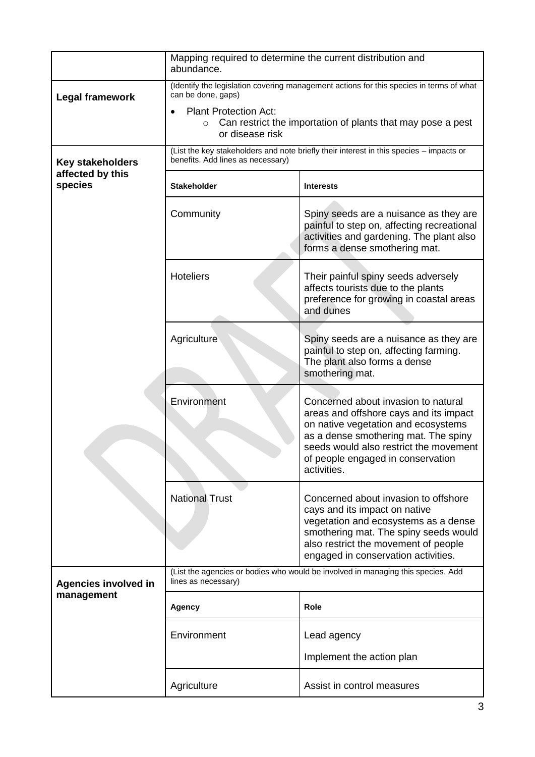|                             | Mapping required to determine the current distribution and<br>abundance.                                                  |                                                                                                                                                                                                                                                            |  |
|-----------------------------|---------------------------------------------------------------------------------------------------------------------------|------------------------------------------------------------------------------------------------------------------------------------------------------------------------------------------------------------------------------------------------------------|--|
| Legal framework             | (Identify the legislation covering management actions for this species in terms of what<br>can be done, gaps)             |                                                                                                                                                                                                                                                            |  |
|                             | <b>Plant Protection Act:</b><br>Can restrict the importation of plants that may pose a pest<br>$\circ$<br>or disease risk |                                                                                                                                                                                                                                                            |  |
| <b>Key stakeholders</b>     | benefits. Add lines as necessary)                                                                                         | (List the key stakeholders and note briefly their interest in this species - impacts or                                                                                                                                                                    |  |
| affected by this<br>species | <b>Stakeholder</b>                                                                                                        | <b>Interests</b>                                                                                                                                                                                                                                           |  |
|                             | Community                                                                                                                 | Spiny seeds are a nuisance as they are<br>painful to step on, affecting recreational<br>activities and gardening. The plant also<br>forms a dense smothering mat.                                                                                          |  |
|                             | <b>Hoteliers</b>                                                                                                          | Their painful spiny seeds adversely<br>affects tourists due to the plants<br>preference for growing in coastal areas<br>and dunes                                                                                                                          |  |
|                             | Agriculture                                                                                                               | Spiny seeds are a nuisance as they are<br>painful to step on, affecting farming.<br>The plant also forms a dense<br>smothering mat.                                                                                                                        |  |
|                             | Environment                                                                                                               | Concerned about invasion to natural<br>areas and offshore cays and its impact<br>on native vegetation and ecosystems<br>as a dense smothering mat. The spiny<br>seeds would also restrict the movement<br>of people engaged in conservation<br>activities. |  |
|                             | <b>National Trust</b>                                                                                                     | Concerned about invasion to offshore<br>cays and its impact on native<br>vegetation and ecosystems as a dense<br>smothering mat. The spiny seeds would<br>also restrict the movement of people<br>engaged in conservation activities.                      |  |
| <b>Agencies involved in</b> | (List the agencies or bodies who would be involved in managing this species. Add<br>lines as necessary)                   |                                                                                                                                                                                                                                                            |  |
| management                  | Agency                                                                                                                    | <b>Role</b>                                                                                                                                                                                                                                                |  |
|                             | Environment                                                                                                               | Lead agency                                                                                                                                                                                                                                                |  |
|                             |                                                                                                                           | Implement the action plan                                                                                                                                                                                                                                  |  |
|                             | Agriculture                                                                                                               | Assist in control measures                                                                                                                                                                                                                                 |  |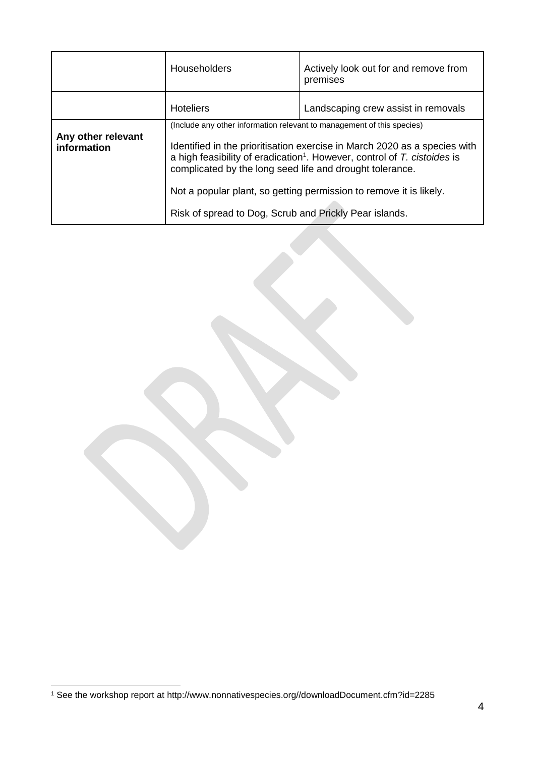|                                   | <b>Householders</b>                                                                                                                                                                                                                                                                                        | Actively look out for and remove from<br>premises |
|-----------------------------------|------------------------------------------------------------------------------------------------------------------------------------------------------------------------------------------------------------------------------------------------------------------------------------------------------------|---------------------------------------------------|
|                                   | <b>Hoteliers</b>                                                                                                                                                                                                                                                                                           | Landscaping crew assist in removals               |
| Any other relevant<br>information | (Include any other information relevant to management of this species)<br>Identified in the prioritisation exercise in March 2020 as a species with<br>a high feasibility of eradication <sup>1</sup> . However, control of $T$ . cistoides is<br>complicated by the long seed life and drought tolerance. |                                                   |
|                                   | Not a popular plant, so getting permission to remove it is likely.                                                                                                                                                                                                                                         |                                                   |
|                                   | Risk of spread to Dog, Scrub and Prickly Pear islands.                                                                                                                                                                                                                                                     |                                                   |

1

<sup>1</sup> See the workshop report at http://www.nonnativespecies.org//downloadDocument.cfm?id=2285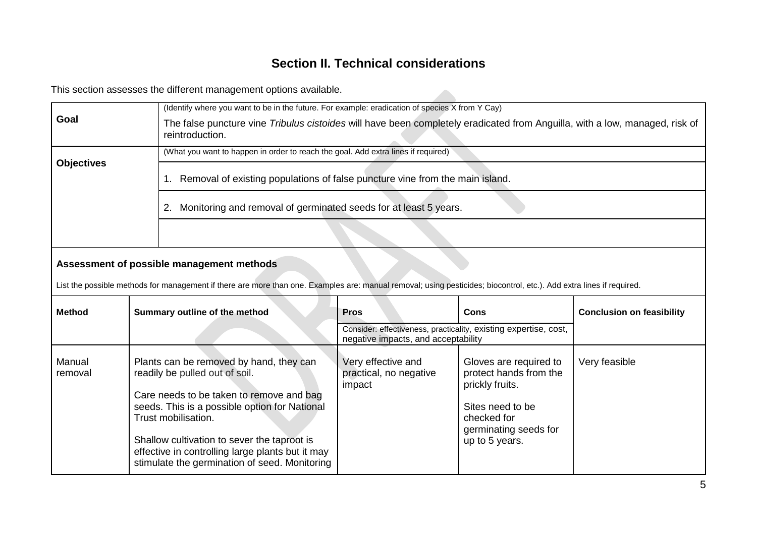# **Section II. Technical considerations**

This section assesses the different management options available.

|                   |                                           | This section assesses the different management options available.                                                                                                    |                                                                                                         |                                                                     |                                  |  |
|-------------------|-------------------------------------------|----------------------------------------------------------------------------------------------------------------------------------------------------------------------|---------------------------------------------------------------------------------------------------------|---------------------------------------------------------------------|----------------------------------|--|
|                   |                                           | (Identify where you want to be in the future. For example: eradication of species X from Y Cay)                                                                      |                                                                                                         |                                                                     |                                  |  |
| Goal              |                                           | The false puncture vine Tribulus cistoides will have been completely eradicated from Anguilla, with a low, managed, risk of<br>reintroduction.                       |                                                                                                         |                                                                     |                                  |  |
|                   |                                           | (What you want to happen in order to reach the goal. Add extra lines if required)                                                                                    |                                                                                                         |                                                                     |                                  |  |
| <b>Objectives</b> |                                           | 1.                                                                                                                                                                   | Removal of existing populations of false puncture vine from the main island.                            |                                                                     |                                  |  |
|                   |                                           | Monitoring and removal of germinated seeds for at least 5 years.<br>2.                                                                                               |                                                                                                         |                                                                     |                                  |  |
|                   |                                           |                                                                                                                                                                      |                                                                                                         |                                                                     |                                  |  |
|                   | Assessment of possible management methods |                                                                                                                                                                      |                                                                                                         |                                                                     |                                  |  |
|                   |                                           | List the possible methods for management if there are more than one. Examples are: manual removal; using pesticides; biocontrol, etc.). Add extra lines if required. |                                                                                                         |                                                                     |                                  |  |
| <b>Method</b>     | Summary outline of the method             |                                                                                                                                                                      | <b>Pros</b>                                                                                             | <b>Cons</b>                                                         | <b>Conclusion on feasibility</b> |  |
|                   |                                           |                                                                                                                                                                      | Consider: effectiveness, practicality, existing expertise, cost,<br>negative impacts, and acceptability |                                                                     |                                  |  |
| Manual<br>removal |                                           | Plants can be removed by hand, they can<br>readily be pulled out of soil.                                                                                            | Very effective and<br>practical, no negative<br>impact                                                  | Gloves are required to<br>protect hands from the<br>prickly fruits. | Very feasible                    |  |
|                   |                                           | Care needs to be taken to remove and bag<br>seeds. This is a possible option for National<br>Trust mobilisation.                                                     |                                                                                                         | Sites need to be<br>checked for<br>germinating seeds for            |                                  |  |
|                   |                                           | Shallow cultivation to sever the taproot is<br>effective in controlling large plants but it may<br>stimulate the germination of seed. Monitoring                     |                                                                                                         | up to 5 years.                                                      |                                  |  |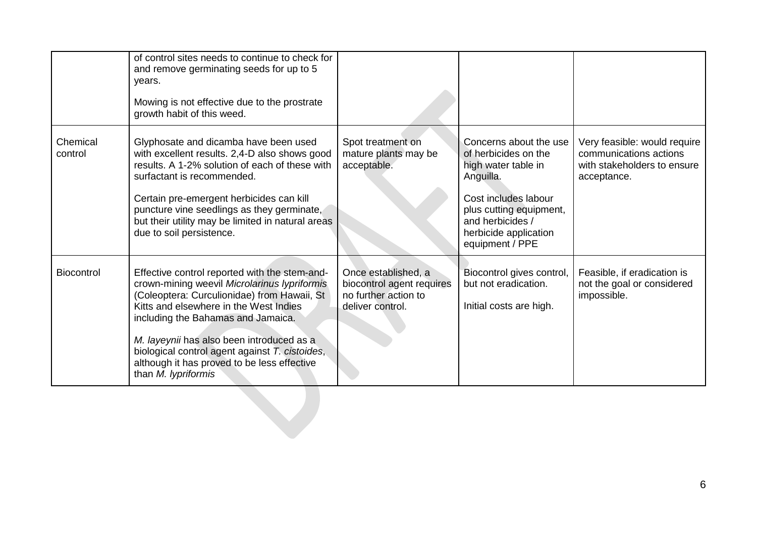|                     | of control sites needs to continue to check for<br>and remove germinating seeds for up to 5<br>years.<br>Mowing is not effective due to the prostrate<br>growth habit of this weed.                                                                                                                                                                                                               |                                                                                              |                                                                                                                                                                                                       |                                                                                                      |
|---------------------|---------------------------------------------------------------------------------------------------------------------------------------------------------------------------------------------------------------------------------------------------------------------------------------------------------------------------------------------------------------------------------------------------|----------------------------------------------------------------------------------------------|-------------------------------------------------------------------------------------------------------------------------------------------------------------------------------------------------------|------------------------------------------------------------------------------------------------------|
| Chemical<br>control | Glyphosate and dicamba have been used<br>with excellent results. 2,4-D also shows good<br>results. A 1-2% solution of each of these with<br>surfactant is recommended.<br>Certain pre-emergent herbicides can kill<br>puncture vine seedlings as they germinate,<br>but their utility may be limited in natural areas<br>due to soil persistence.                                                 | Spot treatment on<br>mature plants may be<br>acceptable.                                     | Concerns about the use<br>of herbicides on the<br>high water table in<br>Anguilla.<br>Cost includes labour<br>plus cutting equipment,<br>and herbicides /<br>herbicide application<br>equipment / PPE | Very feasible: would require<br>communications actions<br>with stakeholders to ensure<br>acceptance. |
| <b>Biocontrol</b>   | Effective control reported with the stem-and-<br>crown-mining weevil Microlarinus lypriformis<br>(Coleoptera: Curculionidae) from Hawaii, St<br>Kitts and elsewhere in the West Indies<br>including the Bahamas and Jamaica.<br>M. layeynii has also been introduced as a<br>biological control agent against T. cistoides,<br>although it has proved to be less effective<br>than M. lypriformis | Once established, a<br>biocontrol agent requires<br>no further action to<br>deliver control. | Biocontrol gives control,<br>but not eradication.<br>Initial costs are high.                                                                                                                          | Feasible, if eradication is<br>not the goal or considered<br>impossible.                             |
|                     |                                                                                                                                                                                                                                                                                                                                                                                                   |                                                                                              |                                                                                                                                                                                                       |                                                                                                      |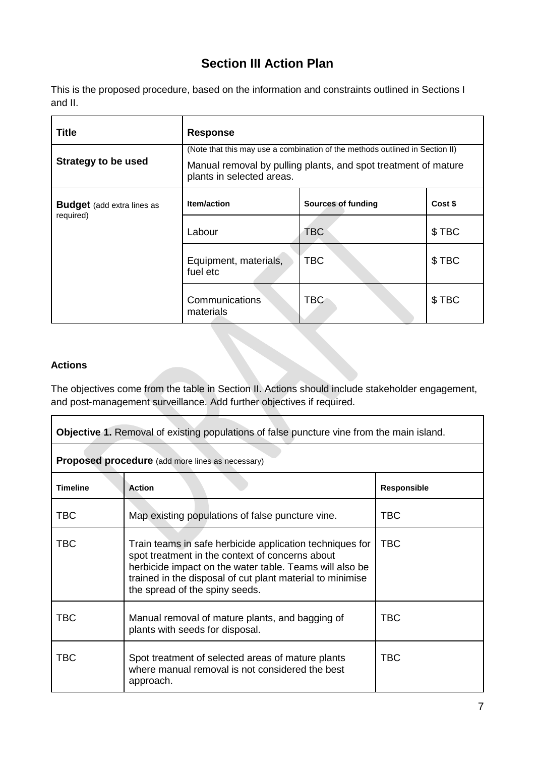# **Section III Action Plan**

This is the proposed procedure, based on the information and constraints outlined in Sections I and II.

| <b>Title</b>                                   | <b>Response</b>                                                                                                                                                             |                    |         |
|------------------------------------------------|-----------------------------------------------------------------------------------------------------------------------------------------------------------------------------|--------------------|---------|
| <b>Strategy to be used</b>                     | (Note that this may use a combination of the methods outlined in Section II)<br>Manual removal by pulling plants, and spot treatment of mature<br>plants in selected areas. |                    |         |
| <b>Budget</b> (add extra lines as<br>required) | <b>Item/action</b>                                                                                                                                                          | Sources of funding | Cost \$ |
|                                                | Labour                                                                                                                                                                      | <b>TBC</b>         | \$TBC   |
|                                                | Equipment, materials,<br>fuel etc                                                                                                                                           | <b>TBC</b>         | \$TBC   |
|                                                | Communications<br>materials                                                                                                                                                 | <b>TBC</b>         | \$TBC   |

#### **Actions**

The objectives come from the table in Section II. Actions should include stakeholder engagement, and post-management surveillance. Add further objectives if required.

| <b>Objective 1.</b> Removal of existing populations of false puncture vine from the main island. |                                                                                                                                                                                                                                                                       |             |
|--------------------------------------------------------------------------------------------------|-----------------------------------------------------------------------------------------------------------------------------------------------------------------------------------------------------------------------------------------------------------------------|-------------|
|                                                                                                  | <b>Proposed procedure</b> (add more lines as necessary)                                                                                                                                                                                                               |             |
| <b>Timeline</b>                                                                                  | <b>Action</b>                                                                                                                                                                                                                                                         | Responsible |
| <b>TBC</b>                                                                                       | Map existing populations of false puncture vine.                                                                                                                                                                                                                      | TBC         |
| <b>TBC</b>                                                                                       | Train teams in safe herbicide application techniques for<br>spot treatment in the context of concerns about<br>herbicide impact on the water table. Teams will also be<br>trained in the disposal of cut plant material to minimise<br>the spread of the spiny seeds. | <b>TBC</b>  |
| <b>TBC</b>                                                                                       | Manual removal of mature plants, and bagging of<br>plants with seeds for disposal.                                                                                                                                                                                    | <b>TBC</b>  |
| <b>TBC</b>                                                                                       | Spot treatment of selected areas of mature plants<br>where manual removal is not considered the best<br>approach.                                                                                                                                                     | TBC         |

 $\overline{\mathbf{1}}$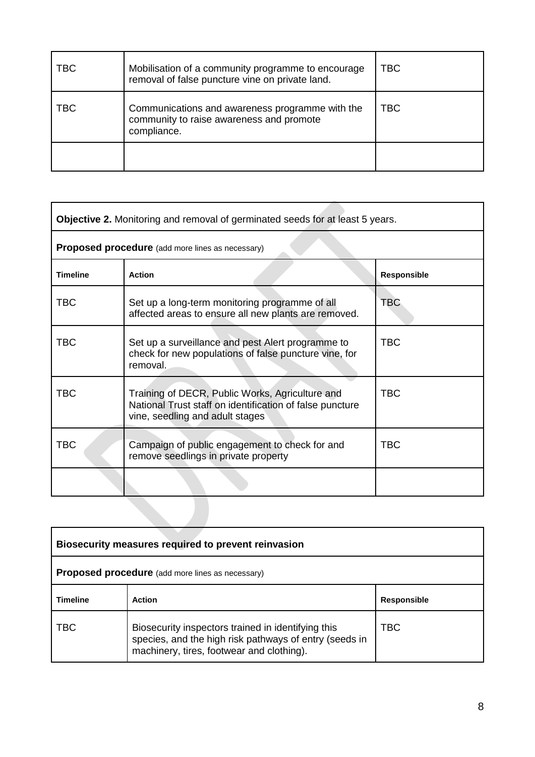| TBC | Mobilisation of a community programme to encourage<br>removal of false puncture vine on private land.      | TBC        |
|-----|------------------------------------------------------------------------------------------------------------|------------|
| TBC | Communications and awareness programme with the<br>community to raise awareness and promote<br>compliance. | <b>TBC</b> |
|     |                                                                                                            |            |

|                 | <b>Objective 2.</b> Monitoring and removal of germinated seeds for at least 5 years.                                                           |             |  |
|-----------------|------------------------------------------------------------------------------------------------------------------------------------------------|-------------|--|
|                 | <b>Proposed procedure</b> (add more lines as necessary)                                                                                        |             |  |
| <b>Timeline</b> | <b>Action</b>                                                                                                                                  | Responsible |  |
| <b>TBC</b>      | Set up a long-term monitoring programme of all<br>affected areas to ensure all new plants are removed.                                         | <b>TBC</b>  |  |
| <b>TBC</b>      | Set up a surveillance and pest Alert programme to<br>check for new populations of false puncture vine, for<br>removal.                         | TBC         |  |
| <b>TBC</b>      | Training of DECR, Public Works, Agriculture and<br>National Trust staff on identification of false puncture<br>vine, seedling and adult stages | TBC         |  |
| <b>TBC</b>      | Campaign of public engagement to check for and<br>remove seedlings in private property                                                         | TBC         |  |
|                 |                                                                                                                                                |             |  |
|                 |                                                                                                                                                |             |  |

| Biosecurity measures required to prevent reinvasion     |                                                                                                                                                           |                    |
|---------------------------------------------------------|-----------------------------------------------------------------------------------------------------------------------------------------------------------|--------------------|
| <b>Proposed procedure</b> (add more lines as necessary) |                                                                                                                                                           |                    |
| <b>Timeline</b>                                         | <b>Action</b>                                                                                                                                             | <b>Responsible</b> |
| TBC                                                     | Biosecurity inspectors trained in identifying this<br>species, and the high risk pathways of entry (seeds in<br>machinery, tires, footwear and clothing). | TBC                |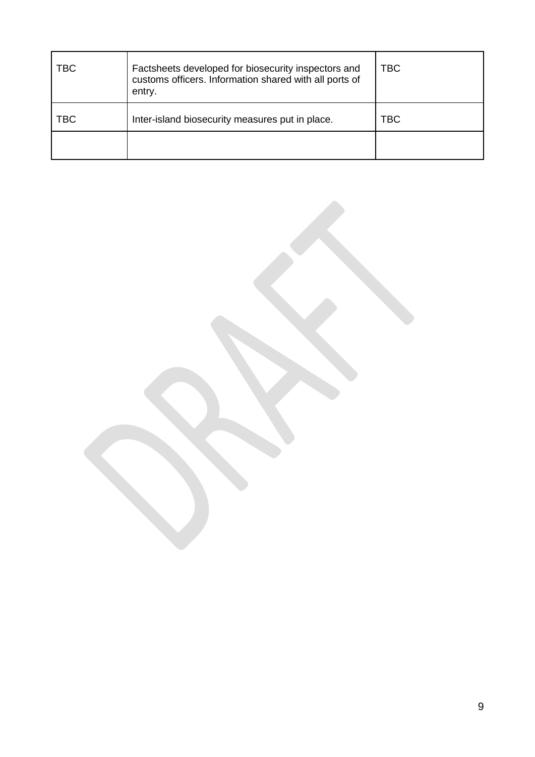| TBC | Factsheets developed for biosecurity inspectors and<br>customs officers. Information shared with all ports of<br>entry. | TBC |
|-----|-------------------------------------------------------------------------------------------------------------------------|-----|
| TBC | Inter-island biosecurity measures put in place.                                                                         | TBC |
|     |                                                                                                                         |     |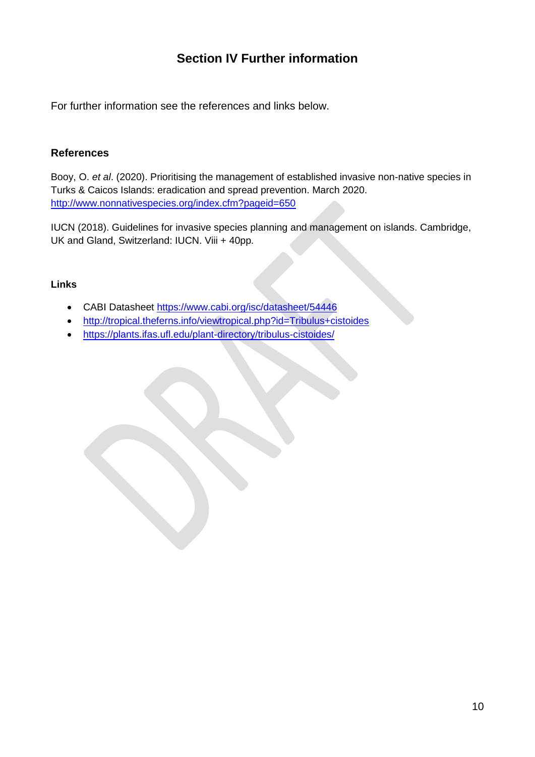# **Section IV Further information**

For further information see the references and links below.

#### **References**

Booy, O. *et al*. (2020). Prioritising the management of established invasive non-native species in Turks & Caicos Islands: eradication and spread prevention. March 2020. <http://www.nonnativespecies.org/index.cfm?pageid=650>

IUCN (2018). Guidelines for invasive species planning and management on islands. Cambridge, UK and Gland, Switzerland: IUCN. Viii + 40pp.

#### **Links**

- CABI Datasheet<https://www.cabi.org/isc/datasheet/54446>
- <http://tropical.theferns.info/viewtropical.php?id=Tribulus+cistoides>
- <https://plants.ifas.ufl.edu/plant-directory/tribulus-cistoides/>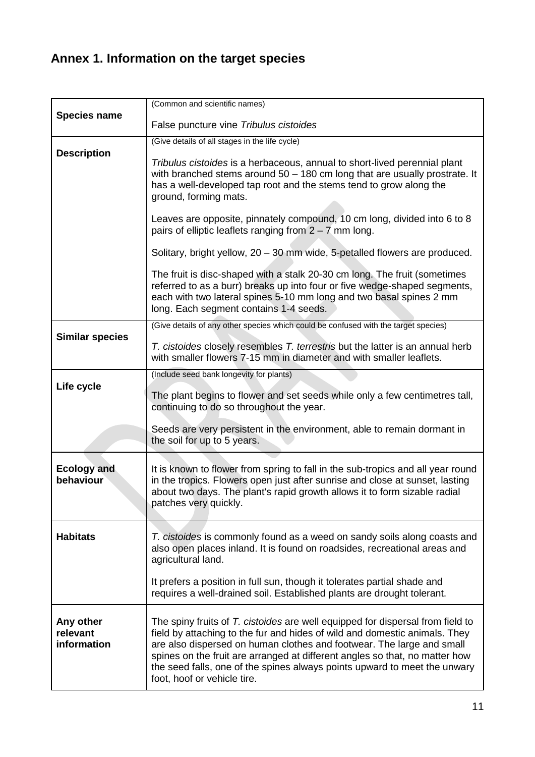# **Annex 1. Information on the target species**

|                                                                                                                                                                                   | (Common and scientific names)                                                                                                                                                                                                                                                                                                                                                                                                    |
|-----------------------------------------------------------------------------------------------------------------------------------------------------------------------------------|----------------------------------------------------------------------------------------------------------------------------------------------------------------------------------------------------------------------------------------------------------------------------------------------------------------------------------------------------------------------------------------------------------------------------------|
| <b>Species name</b>                                                                                                                                                               | False puncture vine Tribulus cistoides                                                                                                                                                                                                                                                                                                                                                                                           |
|                                                                                                                                                                                   | (Give details of all stages in the life cycle)                                                                                                                                                                                                                                                                                                                                                                                   |
| <b>Description</b>                                                                                                                                                                | Tribulus cistoides is a herbaceous, annual to short-lived perennial plant<br>with branched stems around $50 - 180$ cm long that are usually prostrate. It<br>has a well-developed tap root and the stems tend to grow along the<br>ground, forming mats.                                                                                                                                                                         |
|                                                                                                                                                                                   | Leaves are opposite, pinnately compound, 10 cm long, divided into 6 to 8<br>pairs of elliptic leaflets ranging from $2 - 7$ mm long.                                                                                                                                                                                                                                                                                             |
|                                                                                                                                                                                   | Solitary, bright yellow, 20 - 30 mm wide, 5-petalled flowers are produced.                                                                                                                                                                                                                                                                                                                                                       |
|                                                                                                                                                                                   | The fruit is disc-shaped with a stalk 20-30 cm long. The fruit (sometimes<br>referred to as a burr) breaks up into four or five wedge-shaped segments,<br>each with two lateral spines 5-10 mm long and two basal spines 2 mm<br>long. Each segment contains 1-4 seeds.                                                                                                                                                          |
| <b>Similar species</b>                                                                                                                                                            | (Give details of any other species which could be confused with the target species)<br>T. cistoides closely resembles T. terrestris but the latter is an annual herb<br>with smaller flowers 7-15 mm in diameter and with smaller leaflets.                                                                                                                                                                                      |
| (Include seed bank longevity for plants)<br>Life cycle<br>The plant begins to flower and set seeds while only a few centimetres tall,<br>continuing to do so throughout the year. |                                                                                                                                                                                                                                                                                                                                                                                                                                  |
|                                                                                                                                                                                   | Seeds are very persistent in the environment, able to remain dormant in<br>the soil for up to 5 years.                                                                                                                                                                                                                                                                                                                           |
| <b>Ecology and</b><br>behaviour                                                                                                                                                   | It is known to flower from spring to fall in the sub-tropics and all year round<br>in the tropics. Flowers open just after sunrise and close at sunset, lasting<br>about two days. The plant's rapid growth allows it to form sizable radial<br>patches very quickly.                                                                                                                                                            |
| <b>Habitats</b>                                                                                                                                                                   | T. cistoides is commonly found as a weed on sandy soils along coasts and<br>also open places inland. It is found on roadsides, recreational areas and<br>agricultural land.                                                                                                                                                                                                                                                      |
|                                                                                                                                                                                   | It prefers a position in full sun, though it tolerates partial shade and<br>requires a well-drained soil. Established plants are drought tolerant.                                                                                                                                                                                                                                                                               |
| Any other<br>relevant<br>information                                                                                                                                              | The spiny fruits of T. cistoides are well equipped for dispersal from field to<br>field by attaching to the fur and hides of wild and domestic animals. They<br>are also dispersed on human clothes and footwear. The large and small<br>spines on the fruit are arranged at different angles so that, no matter how<br>the seed falls, one of the spines always points upward to meet the unwary<br>foot, hoof or vehicle tire. |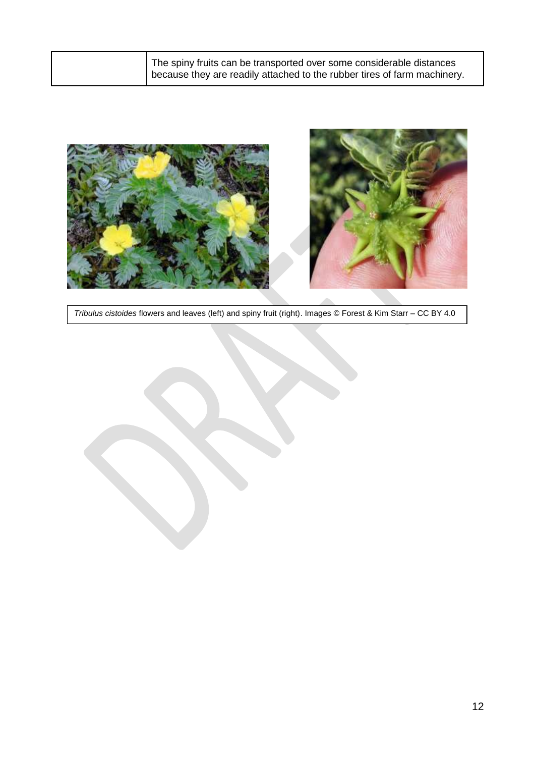| The spiny fruits can be transported over some considerable distances<br>because they are readily attached to the rubber tires of farm machinery. |
|--------------------------------------------------------------------------------------------------------------------------------------------------|
|                                                                                                                                                  |



*Tribulus cistoides* flowers and leaves (left) and spiny fruit (right). Images © Forest & Kim Starr – CC BY 4.0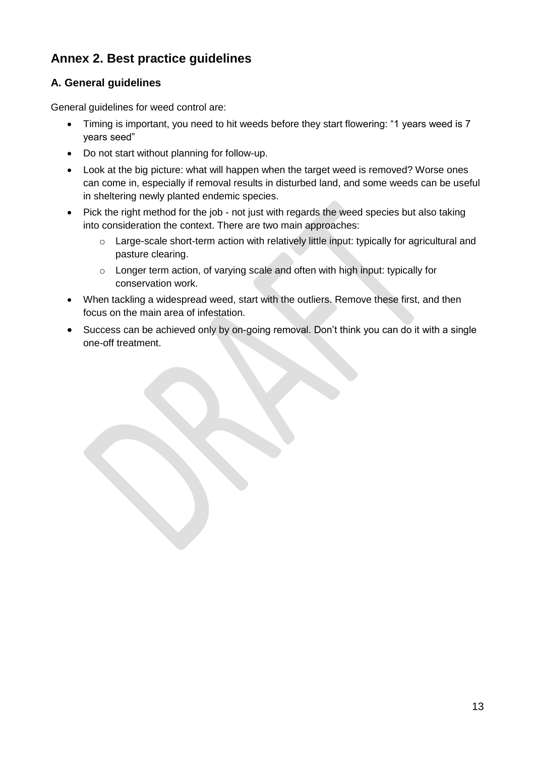# **Annex 2. Best practice guidelines**

## **A. General guidelines**

General guidelines for weed control are:

- Timing is important, you need to hit weeds before they start flowering: "1 years weed is 7 years seed"
- Do not start without planning for follow-up.
- Look at the big picture: what will happen when the target weed is removed? Worse ones can come in, especially if removal results in disturbed land, and some weeds can be useful in sheltering newly planted endemic species.
- Pick the right method for the job not just with regards the weed species but also taking into consideration the context. There are two main approaches:
	- o Large-scale short-term action with relatively little input: typically for agricultural and pasture clearing.
	- o Longer term action, of varying scale and often with high input: typically for conservation work.
- When tackling a widespread weed, start with the outliers. Remove these first, and then focus on the main area of infestation.
- Success can be achieved only by on-going removal. Don't think you can do it with a single one-off treatment.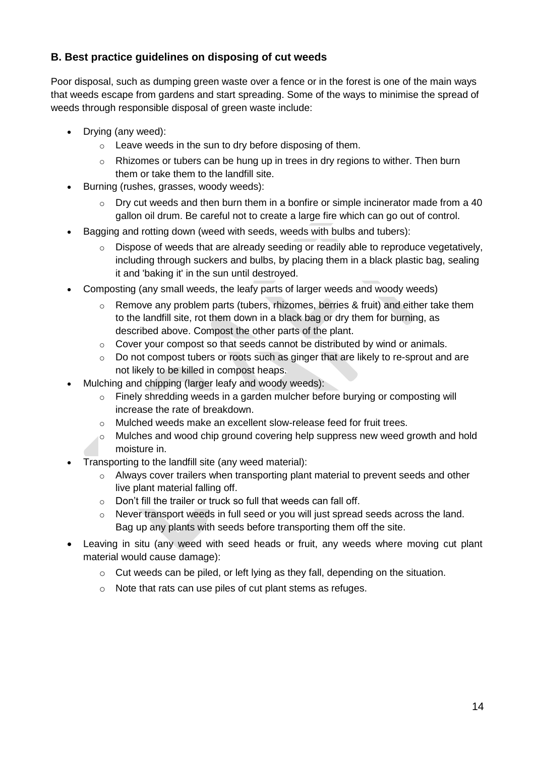### **B. Best practice guidelines on disposing of cut weeds**

Poor disposal, such as dumping green waste over a fence or in the forest is one of the main ways that weeds escape from gardens and start spreading. Some of the ways to minimise the spread of weeds through responsible disposal of green waste include:

- Drying (any weed):
	- o Leave weeds in the sun to dry before disposing of them.
	- o Rhizomes or tubers can be hung up in trees in dry regions to wither. Then burn them or take them to the landfill site.
- Burning (rushes, grasses, woody weeds):
	- $\circ$  Dry cut weeds and then burn them in a bonfire or simple incinerator made from a 40 gallon oil drum. Be careful not to create a large fire which can go out of control.
- Bagging and rotting down (weed with seeds, weeds with bulbs and tubers):
	- $\circ$  Dispose of weeds that are already seeding or readily able to reproduce vegetatively, including through suckers and bulbs, by placing them in a black plastic bag, sealing it and 'baking it' in the sun until destroyed.
- Composting (any small weeds, the leafy parts of larger weeds and woody weeds)
	- $\circ$  Remove any problem parts (tubers, rhizomes, berries & fruit) and either take them to the landfill site, rot them down in a black bag or dry them for burning, as described above. Compost the other parts of the plant.
	- $\circ$  Cover your compost so that seeds cannot be distributed by wind or animals.
	- o Do not compost tubers or roots such as ginger that are likely to re-sprout and are not likely to be killed in compost heaps.
- Mulching and chipping (larger leafy and woody weeds):
	- o Finely shredding weeds in a garden mulcher before burying or composting will increase the rate of breakdown.
	- o Mulched weeds make an excellent slow-release feed for fruit trees.
	- $\circ$  Mulches and wood chip ground covering help suppress new weed growth and hold moisture in.
- Transporting to the landfill site (any weed material):
	- o Always cover trailers when transporting plant material to prevent seeds and other live plant material falling off.
	- $\circ$  Don't fill the trailer or truck so full that weeds can fall off.
	- $\circ$  Never transport weeds in full seed or you will just spread seeds across the land. Bag up any plants with seeds before transporting them off the site.
- Leaving in situ (any weed with seed heads or fruit, any weeds where moving cut plant material would cause damage):
	- o Cut weeds can be piled, or left lying as they fall, depending on the situation.
	- o Note that rats can use piles of cut plant stems as refuges.